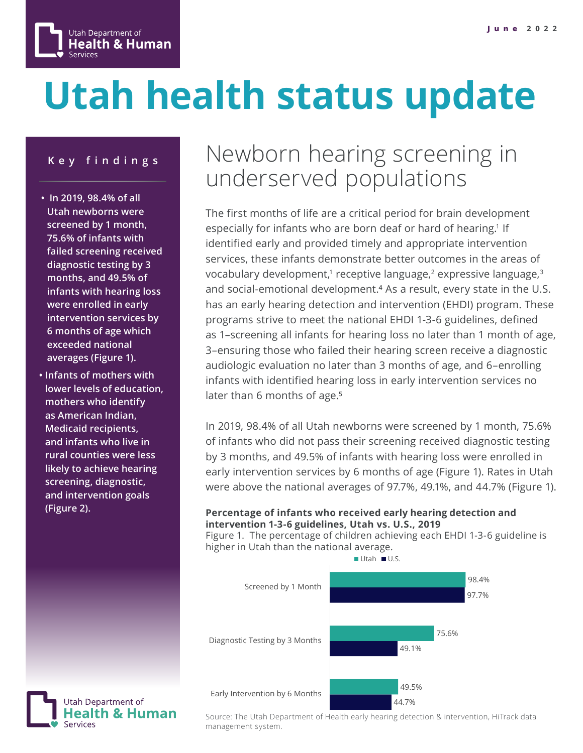

# **Utah health status update**

### **Key findings**

- **In 2019, 98.4% of all Utah newborns were screened by 1 month, 75.6% of infants with failed screening received diagnostic testing by 3 months, and 49.5% of infants with hearing loss were enrolled in early intervention services by 6 months of age which exceeded national averages (Figure 1).**
- **Infants of mothers with lower levels of education, mothers who identify as American Indian, Medicaid recipients, and infants who live in rural counties were less likely to achieve hearing screening, diagnostic, and intervention goals (Figure 2).**

Utah Department of

Health & Human

## Newborn hearing screening in underserved populations

The first months of life are a critical period for brain development especially for infants who are born deaf or hard of hearing.<sup>1</sup> If identified early and provided timely and appropriate intervention services, these infants demonstrate better outcomes in the areas of vocabulary development,<sup>1</sup> receptive language,<sup>2</sup> expressive language, $3$ and social-emotional development.<sup>4</sup> As a result, every state in the U.S. has an early hearing detection and intervention (EHDI) program. These programs strive to meet the national EHDI 1-3-6 guidelines, defined as 1–screening all infants for hearing loss no later than 1 month of age, 3–ensuring those who failed their hearing screen receive a diagnostic audiologic evaluation no later than 3 months of age, and 6–enrolling infants with identified hearing loss in early intervention services no later than 6 months of age.<sup>5</sup>

In 2019, 98.4% of all Utah newborns were screened by 1 month, 75.6% of infants who did not pass their screening received diagnostic testing by 3 months, and 49.5% of infants with hearing loss were enrolled in early intervention services by 6 months of age (Figure 1). Rates in Utah were above the national averages of 97.7%, 49.1%, and 44.7% (Figure 1).

### **Percentage of infants who received early hearing detection and intervention 1-3-6 guidelines, Utah vs. U.S., 2019**

Figure 1. The percentage of children achieving each EHDI 1-3-6 guideline is higher in Utah than the national average.



Source: The Utah Department of Health early hearing detection & intervention, HiTrack data management system.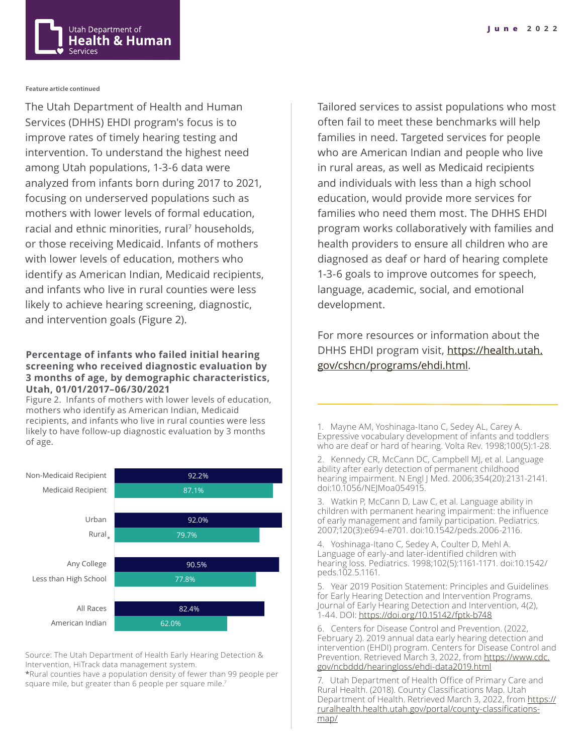

#### **Feature article continued**

The Utah Department of Health and Human Services (DHHS) EHDI program's focus is to improve rates of timely hearing testing and intervention. To understand the highest need among Utah populations, 1-3-6 data were analyzed from infants born during 2017 to 2021, focusing on underserved populations such as mothers with lower levels of formal education, racial and ethnic minorities, rural<sup>7</sup> households, or those receiving Medicaid. Infants of mothers with lower levels of education, mothers who identify as American Indian, Medicaid recipients, and infants who live in rural counties were less likely to achieve hearing screening, diagnostic, and intervention goals (Figure 2).

#### **Percentage of infants who failed initial hearing screening who received diagnostic evaluation by 3 months of age, by demographic characteristics, Utah, 01/01/2017–06/30/2021**

Figure 2. Infants of mothers with lower levels of education, mothers who identify as American Indian, Medicaid recipients, and infants who live in rural counties were less likely to have follow-up diagnostic evaluation by 3 months of age.



Source: The Utah Department of Health Early Hearing Detection & Intervention, HiTrack data management system.

\*Rural counties have a population density of fewer than 99 people per square mile, but greater than 6 people per square mile.<sup>7</sup>

Tailored services to assist populations who most often fail to meet these benchmarks will help families in need. Targeted services for people who are American Indian and people who live in rural areas, as well as Medicaid recipients and individuals with less than a high school education, would provide more services for families who need them most. The DHHS EHDI program works collaboratively with families and health providers to ensure all children who are diagnosed as deaf or hard of hearing complete 1-3-6 goals to improve outcomes for speech, language, academic, social, and emotional development.

For more resources or information about the DHHS EHDI program visit, [https://health.utah.](https://health.utah.gov/cshcn/programs/ehdi.html) [gov/cshcn/programs/ehdi.html.](https://health.utah.gov/cshcn/programs/ehdi.html)

1. Mayne AM, Yoshinaga-Itano C, Sedey AL, Carey A. Expressive vocabulary development of infants and toddlers who are deaf or hard of hearing. Volta Rev. 1998;100(5):1-28.

2. Kennedy CR, McCann DC, Campbell MJ, et al. Language ability after early detection of permanent childhood hearing impairment. N Engl J Med. 2006;354(20):2131-2141. doi:10.1056/NEJMoa054915.

3. Watkin P, McCann D, Law C, et al. Language ability in children with permanent hearing impairment: the influence of early management and family participation. Pediatrics. 2007;120(3):e694-e701. doi:10.1542/peds.2006-2116.

4. Yoshinaga-Itano C, Sedey A, Coulter D, Mehl A. Language of early-and later-identified children with hearing loss. Pediatrics. 1998;102(5):1161-1171. doi:10.1542/ peds.102.5.1161.

5. Year 2019 Position Statement: Principles and Guidelines for Early Hearing Detection and Intervention Programs. Journal of Early Hearing Detection and Intervention, 4(2), 1-44. DOI:<https://doi.org/10.15142/fptk-b748>

6. Centers for Disease Control and Prevention. (2022, February 2). 2019 annual data early hearing detection and intervention (EHDI) program. Centers for Disease Control and Prevention. Retrieved March 3, 2022, from [https://www.cdc.](https://www.cdc.gov/ncbddd/hearingloss/ehdi-data2019.html ) [gov/ncbddd/hearingloss/ehdi-data2019.html](https://www.cdc.gov/ncbddd/hearingloss/ehdi-data2019.html )

7. Utah Department of Health Office of Primary Care and Rural Health. (2018). County Classifications Map. Utah Department of Health. Retrieved March 3, 2022, from [https://](https://ruralhealth.health.utah.gov/portal/county-classifications-map/) [ruralhealth.health.utah.gov/portal/county-classifications](https://ruralhealth.health.utah.gov/portal/county-classifications-map/)[map/](https://ruralhealth.health.utah.gov/portal/county-classifications-map/)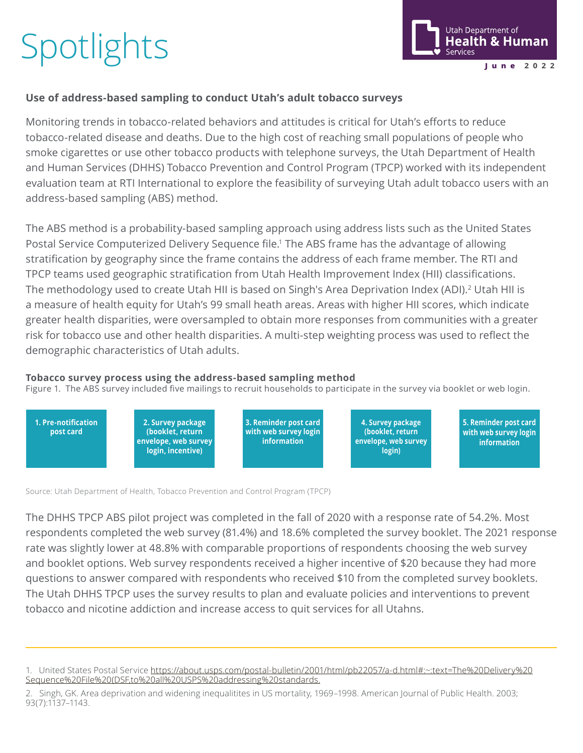# **Spotlights**



### **Use of address-based sampling to conduct Utah's adult tobacco surveys**

Monitoring trends in tobacco-related behaviors and attitudes is critical for Utah's efforts to reduce tobacco-related disease and deaths. Due to the high cost of reaching small populations of people who smoke cigarettes or use other tobacco products with telephone surveys, the Utah Department of Health and Human Services (DHHS) Tobacco Prevention and Control Program (TPCP) worked with its independent evaluation team at RTI International to explore the feasibility of surveying Utah adult tobacco users with an address-based sampling (ABS) method.

The ABS method is a probability-based sampling approach using address lists such as the United States Postal Service Computerized Delivery Sequence file.<sup>1</sup> The ABS frame has the advantage of allowing stratification by geography since the frame contains the address of each frame member. The RTI and TPCP teams used geographic stratification from Utah Health Improvement Index (HII) classifications. The methodology used to create Utah HII is based on Singh's Area Deprivation Index (ADI).<sup>2</sup> Utah HII is a measure of health equity for Utah's 99 small heath areas. Areas with higher HII scores, which indicate greater health disparities, were oversampled to obtain more responses from communities with a greater risk for tobacco use and other health disparities. A multi-step weighting process was used to reflect the demographic characteristics of Utah adults.

### **Tobacco survey process using the address-based sampling method**

Figure 1. The ABS survey included five mailings to recruit households to participate in the survey via booklet or web login.



Source: Utah Department of Health, Tobacco Prevention and Control Program (TPCP)

The DHHS TPCP ABS pilot project was completed in the fall of 2020 with a response rate of 54.2%. Most respondents completed the web survey (81.4%) and 18.6% completed the survey booklet. The 2021 response rate was slightly lower at 48.8% with comparable proportions of respondents choosing the web survey and booklet options. Web survey respondents received a higher incentive of \$20 because they had more questions to answer compared with respondents who received \$10 from the completed survey booklets. The Utah DHHS TPCP uses the survey results to plan and evaluate policies and interventions to prevent tobacco and nicotine addiction and increase access to quit services for all Utahns.

<sup>1.</sup> United States Postal Service [https://about.usps.com/postal-bulletin/2001/html/pb22057/a-d.html#:~:text=The%20Delivery%20](https://about.usps.com/postal-bulletin/2001/html/pb22057/a-d.html#:~:text=The%20Delivery%20Sequence%) [Sequence%20File%20\(DSF,to%20all%20USPS%20addressing%20standards.](https://about.usps.com/postal-bulletin/2001/html/pb22057/a-d.html#:~:text=The%20Delivery%20Sequence%)

<sup>2.</sup> Singh, GK. Area deprivation and widening inequalitites in US mortality, 1969–1998. American Journal of Public Health. 2003; 93(7):1137–1143.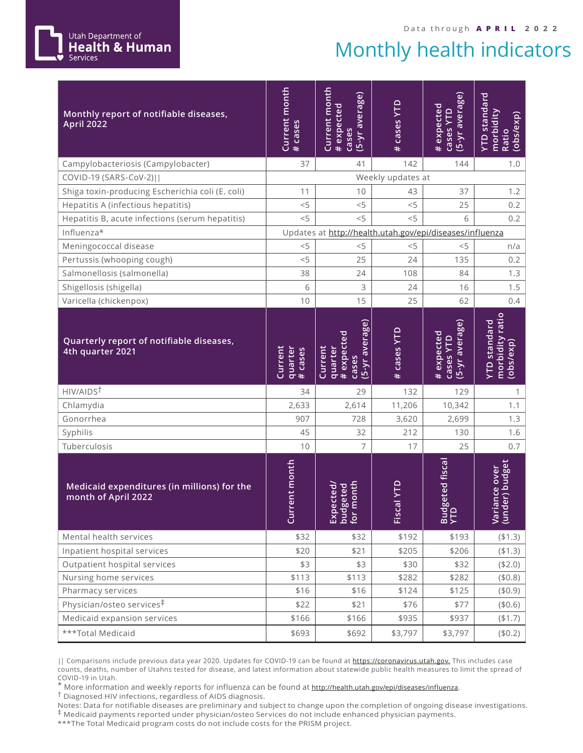## Monthly health indicators

| Monthly report of notifiable diseases,<br><b>April 2022</b>        | Current month<br># cases               | Current month<br>(5-yr average)<br>#expected<br>cases       | Cases YTD<br>$\ddot{}$        | (5-yr average)<br># expected<br><b>Cases YTD</b> | YTD standard<br>morbidity<br>(obs/exp)<br>Ratio  |
|--------------------------------------------------------------------|----------------------------------------|-------------------------------------------------------------|-------------------------------|--------------------------------------------------|--------------------------------------------------|
| Campylobacteriosis (Campylobacter)                                 | 37                                     | 41                                                          | 142                           | 144                                              | 1.0                                              |
| COVID-19 (SARS-CoV-2)                                              |                                        |                                                             | Weekly updates at             |                                                  |                                                  |
| Shiga toxin-producing Escherichia coli (E. coli)                   | 11                                     | 10                                                          | 43                            | 37                                               | 1.2                                              |
| Hepatitis A (infectious hepatitis)                                 | $<$ 5                                  | < 5                                                         | < 5                           | 25                                               | 0.2                                              |
| Hepatitis B, acute infections (serum hepatitis)                    | $<$ 5                                  | < 5                                                         | $<$ 5                         | 6                                                | 0.2                                              |
| Influenza*                                                         |                                        | Updates at http://health.utah.gov/epi/diseases/influenza    |                               |                                                  |                                                  |
| Meningococcal disease                                              | < 5                                    | < 5                                                         | < 5                           | < 5                                              | n/a                                              |
| Pertussis (whooping cough)                                         | < 5                                    | 25                                                          | 24                            | 135                                              | 0.2                                              |
| Salmonellosis (salmonella)                                         | 38                                     | 24                                                          | 108                           | 84                                               | 1.3                                              |
| Shigellosis (shigella)                                             | 6                                      | 3                                                           | 24                            | 16                                               | 1.5                                              |
| Varicella (chickenpox)                                             | 10                                     | 15                                                          | 25                            | 62                                               | 0.4                                              |
| Quarterly report of notifiable diseases,<br>4th quarter 2021       | Current<br>quarter<br># cases<br>cases | (5-yr average)<br># expected<br>Current<br>quarter<br>cases | <b>Cases YTD</b><br>$\ddot{}$ | (5-yr average)<br># expected<br><b>Cases YTD</b> | morbidity ratio<br>YTD standard<br>(obs/exp)     |
| HIV/AIDS <sup>T</sup>                                              | 34                                     | 29                                                          | 132                           | 129                                              | 1                                                |
| Chlamydia                                                          | 2,633                                  | 2,614                                                       | 11,206                        | 10,342                                           | 1.1                                              |
| Gonorrhea                                                          | 907                                    | 728                                                         | 3,620                         | 2,699                                            | 1.3                                              |
| Syphilis                                                           | 45                                     | 32                                                          | 212                           | 130                                              | 1.6                                              |
| Tuberculosis                                                       | 10                                     | 7                                                           | 17                            | 25                                               | 0.7                                              |
| Medicaid expenditures (in millions) for the<br>month of April 2022 | ent month<br>Ğ                         | month<br>geted<br>ected<br>Exp<br>Dud<br>for 1              | al YTD<br>Fisc                | geted fiscal<br><b>Budy</b>                      | er) budget<br>ance over<br>$\overline{\text{S}}$ |
| Mental health services                                             | \$32                                   | \$32                                                        | \$192                         | \$193                                            | (41.3)                                           |
| Inpatient hospital services                                        | \$20                                   | \$21                                                        | \$205                         | \$206                                            | (41.3)                                           |
| Outpatient hospital services                                       | \$3                                    | \$3                                                         | \$30                          | \$32                                             | (\$2.0)                                          |
| Nursing home services                                              | \$113                                  | \$113                                                       | \$282                         | \$282                                            | (\$0.8)                                          |
| Pharmacy services                                                  | \$16                                   | \$16                                                        | \$124                         | \$125                                            | (\$0.9)                                          |
| Physician/osteo services <sup>‡</sup>                              | \$22                                   | \$21                                                        | \$76                          | \$77                                             | (\$0.6)                                          |
| Medicaid expansion services                                        | \$166                                  | \$166                                                       | \$935                         | \$937                                            | (\$1.7)                                          |
| ***Total Medicaid                                                  | \$693                                  | \$692                                                       | \$3,797                       | \$3,797                                          | (\$0.2)                                          |

|| Comparisons include previous data year 2020. Updates for COVID-19 can be found at [https://coronavirus.utah.gov.](https://coronavirus.utah.gov) This includes case counts, deaths, number of Utahns tested for disease, and latest information about statewide public health measures to limit the spread of

COVID-19 in Utah.<br>\* More information and weekly reports for influenza can be found at <u><http://health.utah.gov/epi/diseases/influenza></u>.<br><sup>†</sup> Diagnosed HIV infections, regardless of AIDS diagnosis.

Notes: Data for notifiable diseases are preliminary and subject to change upon the completion of ongoing disease investigations. ‡ Medicaid payments reported under physician/osteo Services do not include enhanced physician payments.

\*\*\*The Total Medicaid program costs do not include costs for the PRISM project.